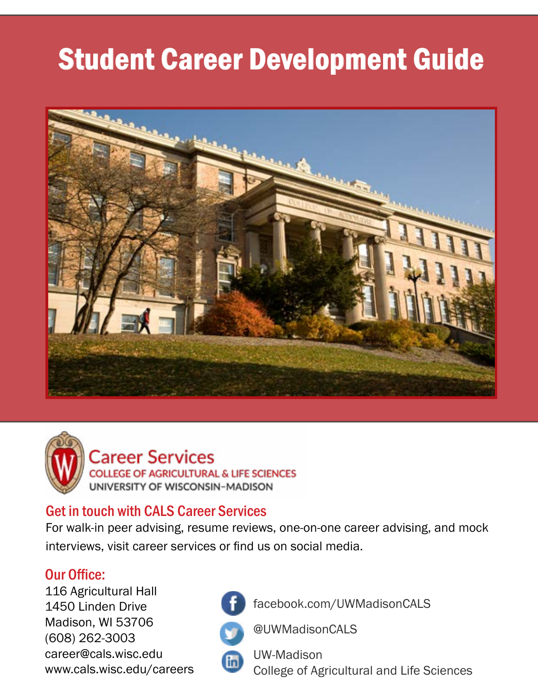# Student Career Development Guide



Career Services **COLLEGE OF AGRICULTURAL & LIFE SCIENCES**<br>UNIVERSITY OF WISCONSIN-MADISON

### Get in touch with CALS Career Services

For walk-in peer advising, resume reviews, one-on-one career advising, and mock interviews, visit career services or find us on social media.

### Our Office:

116 Agricultural Hall 1450 Linden Drive Madison, WI 53706 (608) 262-3003 career@cals.wisc.edu www.cals.wisc.edu/careers



(in)

facebook.com/UWMadisonCALS



@UWMadisonCALS

UW-Madison College of Agricultural and Life Sciences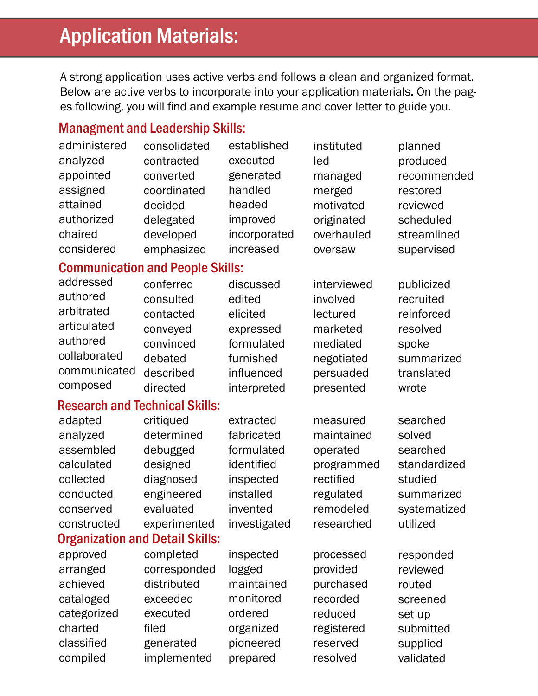# Application Materials:

A strong application uses active verbs and follows a clean and organized format. Below are active verbs to incorporate into your application materials. On the pages following, you will find and example resume and cover letter to guide you.

### Managment and Leadership Skills:

| administered                            | consolidated | established  | instituted  | planned      |  |
|-----------------------------------------|--------------|--------------|-------------|--------------|--|
| analyzed                                | contracted   | executed     | led         | produced     |  |
| appointed                               | converted    | generated    | managed     | recommended  |  |
| assigned                                | coordinated  | handled      | merged      | restored     |  |
| attained                                | decided      | headed       | motivated   | reviewed     |  |
| authorized                              | delegated    | improved     | originated  | scheduled    |  |
| chaired                                 | developed    | incorporated | overhauled  | streamlined  |  |
| considered                              | emphasized   | increased    | oversaw     | supervised   |  |
| <b>Communication and People Skills:</b> |              |              |             |              |  |
| addressed                               | conferred    | discussed    | interviewed | publicized   |  |
| authored                                | consulted    | edited       | involved    | recruited    |  |
| arbitrated                              | contacted    | elicited     | lectured    | reinforced   |  |
| articulated                             | conveyed     | expressed    | marketed    | resolved     |  |
| authored                                | convinced    | formulated   | mediated    | spoke        |  |
| collaborated                            | debated      | furnished    | negotiated  | summarized   |  |
| communicated                            | described    | influenced   | persuaded   | translated   |  |
| composed                                | directed     | interpreted  | presented   | wrote        |  |
| <b>Research and Technical Skills:</b>   |              |              |             |              |  |
| adapted                                 | critiqued    | extracted    | measured    | searched     |  |
| analyzed                                | determined   | fabricated   | maintained  | solved       |  |
| assembled                               | debugged     | formulated   | operated    | searched     |  |
| calculated                              | designed     | identified   | programmed  | standardized |  |
| collected                               | diagnosed    | inspected    | rectified   | studied      |  |
| conducted                               | engineered   | installed    | regulated   | summarized   |  |
| conserved                               | evaluated    | invented     | remodeled   | systematized |  |
| constructed                             | experimented | investigated | researched  | utilized     |  |
| <b>Organization and Detail Skills:</b>  |              |              |             |              |  |
| approved                                | completed    | inspected    | processed   | responded    |  |
| arranged                                | corresponded | logged       | provided    | reviewed     |  |
| achieved                                | distributed  | maintained   | purchased   | routed       |  |
| cataloged                               | exceeded     | monitored    | recorded    | screened     |  |
| categorized                             | executed     | ordered      | reduced     | set up       |  |
| charted                                 | filed        | organized    | registered  | submitted    |  |
| classified                              | generated    | pioneered    | reserved    | supplied     |  |
| compiled                                | implemented  | prepared     | resolved    | validated    |  |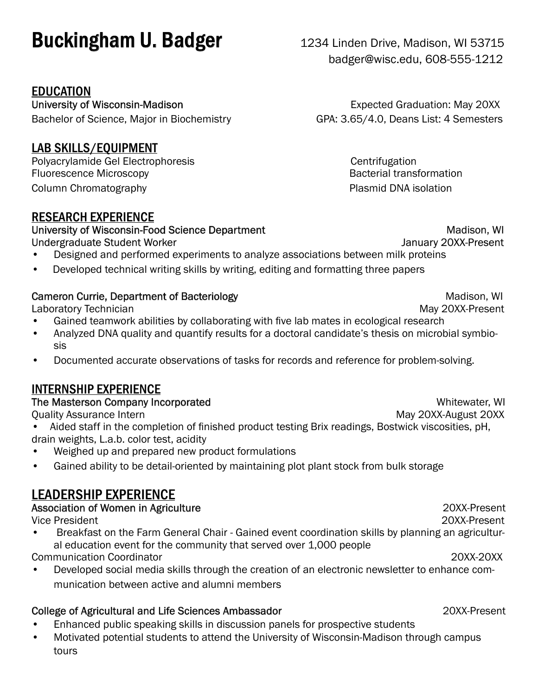# **Buckingham U. Badger** 1234 Linden Drive, Madison, WI 53715

### EDUCATION

University of Wisconsin-Madison **Expected Graduation: May 20XX** Bachelor of Science, Major in Biochemistry GPA: 3.65/4.0, Deans List: 4 Semesters

### LAB SKILLS/EQUIPMENT

Polyacrylamide Gel Electrophoresis Centrifugation Fluorescence Microscopy **Bacterial transformation** Column Chromatography **Plasmid DNA** isolation

### RESEARCH EXPERIENCE

University of Wisconsin-Food Science Department Madison, WI Undergraduate Student Worker **Verwalter Student Worker Accord Contract Contract Contract Contract Contract Contract Contract Contract Contract Contract Contract Contract Contract Contract Contract Contract Contract Contrac** 

- Designed and performed experiments to analyze associations between milk proteins
- Developed technical writing skills by writing, editing and formatting three papers

### Cameron Currie, Department of Bacteriology **Madison, WI** Anadison, WI

Laboratory Technician May 20XX-Present

- Gained teamwork abilities by collaborating with five lab mates in ecological research
- Analyzed DNA quality and quantify results for a doctoral candidate's thesis on microbial symbiosis
- Documented accurate observations of tasks for records and reference for problem-solving.

### INTERNSHIP EXPERIENCE

### The Masterson Company Incorporated Whitewater, WI

Quality Assurance Intern May 20XX-August 20XX-August 20XX-August 20XX-August 20XX-August 20XX

- Aided staff in the completion of finished product testing Brix readings, Bostwick viscosities, pH, drain weights, L.a.b. color test, acidity
- Weighed up and prepared new product formulations
- Gained ability to be detail-oriented by maintaining plot plant stock from bulk storage

### LEADERSHIP EXPERIENCE

### Association of Women in Agriculture 20XX-Present

Vice President 20XX-Present

- Breakfast on the Farm General Chair Gained event coordination skills by planning an agricultural education event for the community that served over 1,000 people Communication Coordinator 20XX-20XX
- Developed social media skills through the creation of an electronic newsletter to enhance communication between active and alumni members

### College of Agricultural and Life Sciences Ambassador 20XX-Present

- Enhanced public speaking skills in discussion panels for prospective students
- Motivated potential students to attend the University of Wisconsin-Madison through campus tours

badger@wisc.edu, 608-555-1212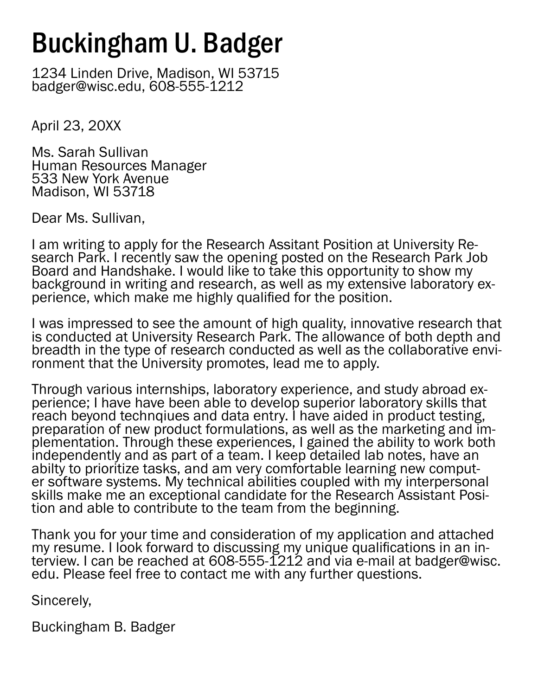# Buckingham U. Badger

1234 Linden Drive, Madison, WI 53715 badger@wisc.edu, 608-555-1212

April 23, 20XX

Ms. Sarah Sullivan Human Resources Manager 533 New York Avenue Madison, WI 53718

Dear Ms. Sullivan,

I am writing to apply for the Research Assitant Position at University Re- search Park. I recently saw the opening posted on the Research Park Job Board and Handshake. I would like to take this opportunity to show my background in writing and research, as well as my extensive laboratory ex-<br>perience, which make me highly qualified for the position.

I was impressed to see the amount of high quality, innovative research that is conducted at University Research Park. The allowance of both depth and breadth in the type of research conducted as well as the collaborative envi- ronment that the University promotes, lead me to apply.

Through various internships, laboratory experience, and study abroad ex- perience; I have have been able to develop superior laboratory skills that reach beyond technqiues and data entry. I have aided in product testing, preparation of new product formulations, as well as the marketing and implementation. Through these experiences, I gained the ability to work both independently and as part of a team. I keep detailed lab notes, have an ability to prioritize tasks, and am very comfortable learning new computer software systems. My technical abilities coupled with my interpersonal skills make me an exceptional candidate for the Research Assistant Posi- tion and able to contribute to the team from the beginning.

Thank you for your time and consideration of my application and attached my resume. I look forward to discussing my unique qualifications in an in-<br>terview. I can be reached at 608-555-1212 and via e-mail at badger@wisc. edu. Please feel free to contact me with any further questions.

Sincerely,

Buckingham B. Badger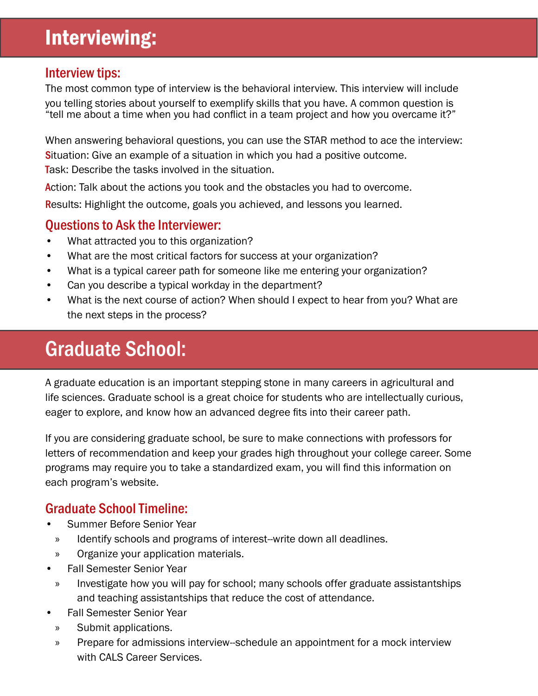## Interviewing:

### Interview tips:

The most common type of interview is the behavioral interview. This interview will include you telling stories about yourself to exemplify skills that you have. A common question is "tell me about a time when you had conflict in a team project and how you overcame it?"

When answering behavioral questions, you can use the STAR method to ace the interview: **S**ituation: Give an example of a situation in which you had a positive outcome. Task: Describe the tasks involved in the situation.

Action: Talk about the actions you took and the obstacles you had to overcome.

Results: Highlight the outcome, goals you achieved, and lessons you learned.

### Questions to Ask the Interviewer:

- What attracted you to this organization?
- What are the most critical factors for success at your organization?
- What is a typical career path for someone like me entering your organization?
- Can you describe a typical workday in the department?
- What is the next course of action? When should I expect to hear from you? What are the next steps in the process?

# Graduate School:

A graduate education is an important stepping stone in many careers in agricultural and life sciences. Graduate school is a great choice for students who are intellectually curious, eager to explore, and know how an advanced degree fits into their career path.

If you are considering graduate school, be sure to make connections with professors for letters of recommendation and keep your grades high throughout your college career. Some programs may require you to take a standardized exam, you will find this information on each program's website.

### Graduate School Timeline:

- Summer Before Senior Year
	- » Identify schools and programs of interest--write down all deadlines.
	- » Organize your application materials.
- Fall Semester Senior Year
- » Investigate how you will pay for school; many schools offer graduate assistantships and teaching assistantships that reduce the cost of attendance.
- Fall Semester Senior Year
	- » Submit applications.
	- » Prepare for admissions interview--schedule an appointment for a mock interview with CALS Career Services.